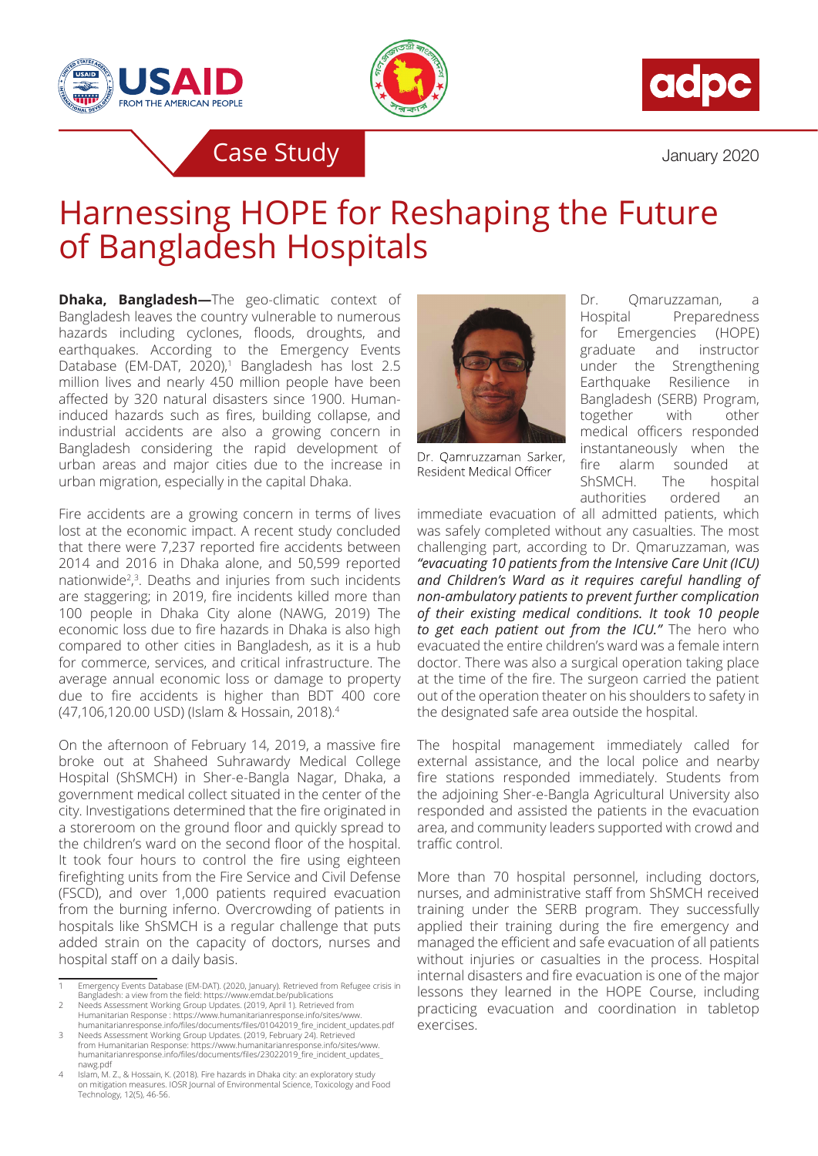





Case Study and the Case Study of the United Study of the United Study of the United Study of the United Study

## Harnessing HOPE for Reshaping the Future of Bangladesh Hospitals

**Dhaka, Bangladesh—The geo-climatic context of** Bangladesh leaves the country vulnerable to numerous hazards including cyclones, floods, droughts, and earthquakes. According to the Emergency Events Database (EM-DAT, 2020),<sup>1</sup> Bangladesh has lost 2.5 million lives and nearly 450 million people have been affected by 320 natural disasters since 1900. Humaninduced hazards such as fires, building collapse, and industrial accidents are also a growing concern in Bangladesh considering the rapid development of urban areas and major cities due to the increase in urban migration, especially in the capital Dhaka.

Fire accidents are a growing concern in terms of lives lost at the economic impact. A recent study concluded that there were 7,237 reported fire accidents between 2014 and 2016 in Dhaka alone, and 50,599 reported nationwide<sup>2</sup>,<sup>3</sup>. Deaths and injuries from such incidents are staggering; in 2019, fire incidents killed more than 100 people in Dhaka City alone (NAWG, 2019) The economic loss due to fire hazards in Dhaka is also high compared to other cities in Bangladesh, as it is a hub for commerce, services, and critical infrastructure. The average annual economic loss or damage to property due to fire accidents is higher than BDT 400 core (47,106,120.00 USD) (Islam & Hossain, 2018).<sup>4</sup>

On the afternoon of February 14, 2019, a massive fire broke out at Shaheed Suhrawardy Medical College Hospital (ShSMCH) in Sher-e-Bangla Nagar, Dhaka, a government medical collect situated in the center of the city. Investigations determined that the fire originated in a storeroom on the ground floor and quickly spread to the children's ward on the second floor of the hospital. It took four hours to control the fire using eighteen firefighting units from the Fire Service and Civil Defense (FSCD), and over 1,000 patients required evacuation from the burning inferno. Overcrowding of patients in hospitals like ShSMCH is a regular challenge that puts added strain on the capacity of doctors, nurses and hospital staff on a daily basis.



Dr. Qamruzzaman Sarker, Resident Medical Officer

Dr. Qmaruzzaman, a Hospital Preparedness for Emergencies (HOPE) graduate and instructor under the Strengthening Earthquake Resilience in Bangladesh (SERB) Program, together with other medical officers responded instantaneously when the fire alarm sounded at ShSMCH. The hospital authorities ordered an

immediate evacuation of all admitted patients, which was safely completed without any casualties. The most challenging part, according to Dr. Qmaruzzaman, was *"evacuating 10 patients from the Intensive Care Unit (ICU) and Children's Ward as it requires careful handling of non-ambulatory patients to prevent further complication of their existing medical conditions. It took 10 people to get each patient out from the ICU."* The hero who evacuated the entire children's ward was a female intern doctor. There was also a surgical operation taking place at the time of the fire. The surgeon carried the patient out of the operation theater on his shoulders to safety in the designated safe area outside the hospital.

The hospital management immediately called for external assistance, and the local police and nearby fire stations responded immediately. Students from the adjoining Sher-e-Bangla Agricultural University also responded and assisted the patients in the evacuation area, and community leaders supported with crowd and traffic control.

More than 70 hospital personnel, including doctors, nurses, and administrative staff from ShSMCH received training under the SERB program. They successfully applied their training during the fire emergency and managed the efficient and safe evacuation of all patients without injuries or casualties in the process. Hospital internal disasters and fire evacuation is one of the major lessons they learned in the HOPE Course, including practicing evacuation and coordination in tabletop exercises.

Emergency Events Database (EM-DAT). (2020, January). Retrieved from Refugee crisis in Bangladesh: a view from the field: https://www.emdat.be/publications 2 Needs Assessment Working Group Updates. (2019, April 1). Retrieved from

Humanitarian Response : https://www.humanitarianresponse.info/sites/www. humanitarianresponse.info/files/documents/files/01042019\_fire\_incident\_updates.pdf

<sup>3</sup> Needs Assessment Working Group Updates. (2019, February 24). Retrieved from Humanitarian Response: https://www.humanitarianresponse.info/sites/www. humanitarianresponse.info/files/documents/files/23022019\_fire\_incident\_updates\_

nawg.pdf 4 Islam, M. Z., & Hossain, K. (2018). Fire hazards in Dhaka city: an exploratory study on mitigation measures. IOSR Journal of Environmental Science, Toxicology and Food Technology, 12(5), 46-56.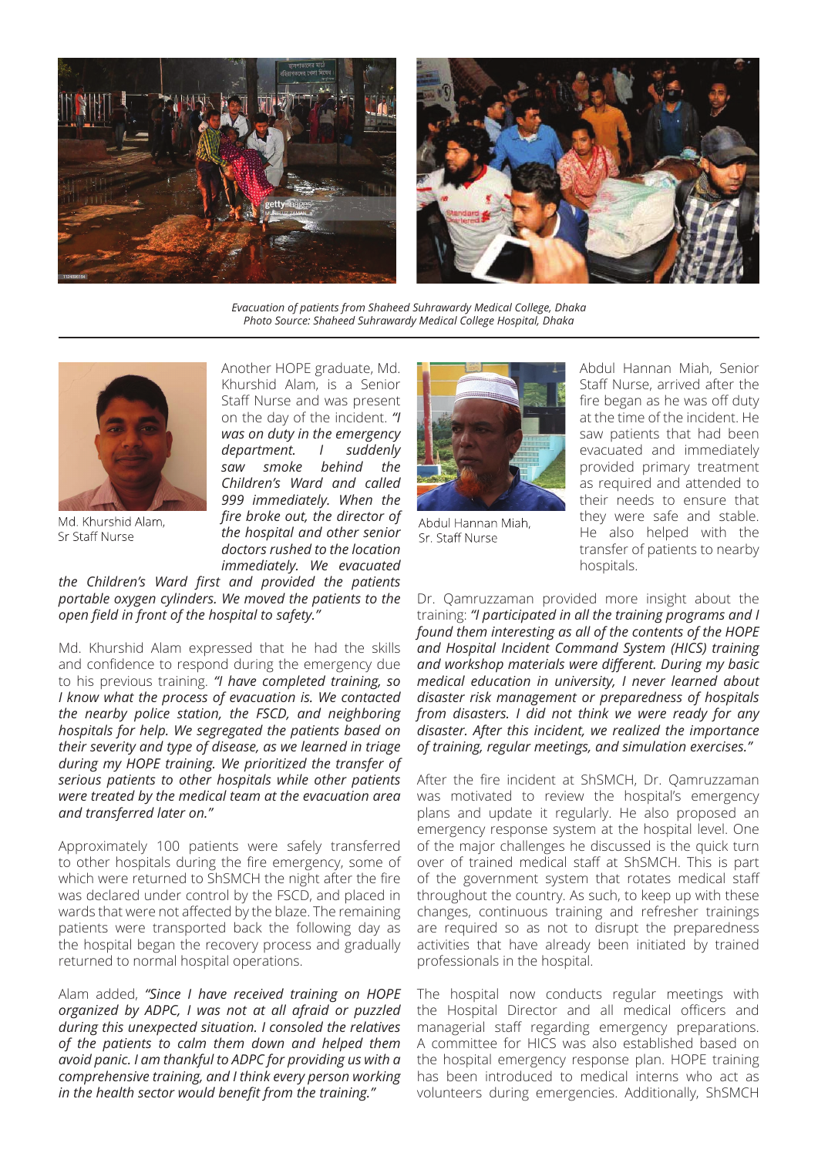

*Evacuation of patients from Shaheed Suhrawardy Medical College, Dhaka Photo Source: Shaheed Suhrawardy Medical College Hospital, Dhaka*



Md. Khurshid Alam. Sr Staff Nurse

Another HOPE graduate, Md. Khurshid Alam, is a Senior Staff Nurse and was present on the day of the incident. *"I was on duty in the emergency department. I suddenly saw smoke behind the Children's Ward and called 999 immediately. When the fire broke out, the director of the hospital and other senior doctors rushed to the location immediately. We evacuated* 

*the Children's Ward first and provided the patients portable oxygen cylinders. We moved the patients to the open field in front of the hospital to safety."*

Md. Khurshid Alam expressed that he had the skills and confidence to respond during the emergency due to his previous training. *"I have completed training, so I know what the process of evacuation is. We contacted the nearby police station, the FSCD, and neighboring hospitals for help. We segregated the patients based on their severity and type of disease, as we learned in triage during my HOPE training. We prioritized the transfer of serious patients to other hospitals while other patients were treated by the medical team at the evacuation area and transferred later on."*

Approximately 100 patients were safely transferred to other hospitals during the fire emergency, some of which were returned to ShSMCH the night after the fire was declared under control by the FSCD, and placed in wards that were not affected by the blaze. The remaining patients were transported back the following day as the hospital began the recovery process and gradually returned to normal hospital operations.

Alam added, *"Since I have received training on HOPE organized by ADPC, I was not at all afraid or puzzled during this unexpected situation. I consoled the relatives of the patients to calm them down and helped them avoid panic. I am thankful to ADPC for providing us with a comprehensive training, and I think every person working in the health sector would benefit from the training."* 



Abdul Hannan Miah, Sr. Staff Nurse

Abdul Hannan Miah, Senior Staff Nurse, arrived after the fire began as he was off duty at the time of the incident. He saw patients that had been evacuated and immediately provided primary treatment as required and attended to their needs to ensure that they were safe and stable. He also helped with the transfer of patients to nearby hospitals.

Dr. Qamruzzaman provided more insight about the training: *"I participated in all the training programs and I found them interesting as all of the contents of the HOPE and Hospital Incident Command System (HICS) training and workshop materials were different. During my basic medical education in university, I never learned about disaster risk management or preparedness of hospitals from disasters. I did not think we were ready for any disaster. After this incident, we realized the importance of training, regular meetings, and simulation exercises."* 

After the fire incident at ShSMCH, Dr. Qamruzzaman was motivated to review the hospital's emergency plans and update it regularly. He also proposed an emergency response system at the hospital level. One of the major challenges he discussed is the quick turn over of trained medical staff at ShSMCH. This is part of the government system that rotates medical staff throughout the country. As such, to keep up with these changes, continuous training and refresher trainings are required so as not to disrupt the preparedness activities that have already been initiated by trained professionals in the hospital.

The hospital now conducts regular meetings with the Hospital Director and all medical officers and managerial staff regarding emergency preparations. A committee for HICS was also established based on the hospital emergency response plan. HOPE training has been introduced to medical interns who act as volunteers during emergencies. Additionally, ShSMCH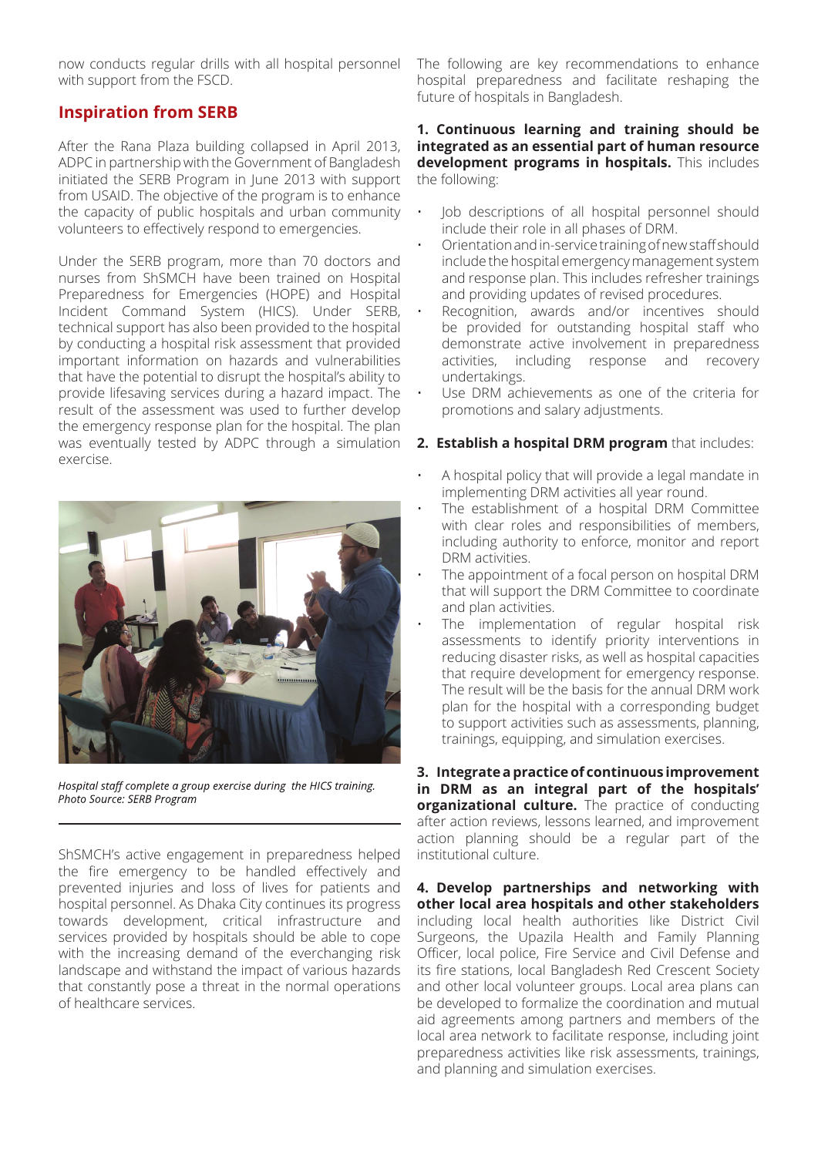now conducts regular drills with all hospital personnel with support from the FSCD.

## **Inspiration from SERB**

After the Rana Plaza building collapsed in April 2013, ADPC in partnership with the Government of Bangladesh initiated the SERB Program in June 2013 with support from USAID. The objective of the program is to enhance the capacity of public hospitals and urban community volunteers to effectively respond to emergencies.

Under the SERB program, more than 70 doctors and nurses from ShSMCH have been trained on Hospital Preparedness for Emergencies (HOPE) and Hospital Incident Command System (HICS). Under SERB, technical support has also been provided to the hospital by conducting a hospital risk assessment that provided important information on hazards and vulnerabilities that have the potential to disrupt the hospital's ability to provide lifesaving services during a hazard impact. The result of the assessment was used to further develop the emergency response plan for the hospital. The plan was eventually tested by ADPC through a simulation exercise.



Hospital staff complete a group exercise during the HICS training. Photo Source: SERB Program

ShSMCH's active engagement in preparedness helped the fire emergency to be handled effectively and prevented injuries and loss of lives for patients and hospital personnel. As Dhaka City continues its progress towards development, critical infrastructure and services provided by hospitals should be able to cope with the increasing demand of the everchanging risk landscape and withstand the impact of various hazards that constantly pose a threat in the normal operations of healthcare services.

The following are key recommendations to enhance hospital preparedness and facilitate reshaping the future of hospitals in Bangladesh.

## **1. Continuous learning and training should be integrated as an essential part of human resource development programs in hospitals.** This includes the following:

- Job descriptions of all hospital personnel should include their role in all phases of DRM.
- Orientation and in-service training of new staff should include the hospital emergency management system and response plan. This includes refresher trainings and providing updates of revised procedures.
- Recognition, awards and/or incentives should be provided for outstanding hospital staff who demonstrate active involvement in preparedness activities, including response and recovery undertakings.
- Use DRM achievements as one of the criteria for promotions and salary adjustments.

## **2. Establish a hospital DRM program** that includes:

- A hospital policy that will provide a legal mandate in implementing DRM activities all year round.
- The establishment of a hospital DRM Committee with clear roles and responsibilities of members, including authority to enforce, monitor and report DRM activities.
- The appointment of a focal person on hospital DRM that will support the DRM Committee to coordinate and plan activities.
- The implementation of regular hospital risk assessments to identify priority interventions in reducing disaster risks, as well as hospital capacities that require development for emergency response. The result will be the basis for the annual DRM work plan for the hospital with a corresponding budget to support activities such as assessments, planning, trainings, equipping, and simulation exercises.

**3. Integrate a practice of continuous improvement in DRM as an integral part of the hospitals' organizational culture.** The practice of conducting after action reviews, lessons learned, and improvement action planning should be a regular part of the institutional culture.

**4. Develop partnerships and networking with other local area hospitals and other stakeholders** including local health authorities like District Civil Surgeons, the Upazila Health and Family Planning Officer, local police, Fire Service and Civil Defense and its fire stations, local Bangladesh Red Crescent Society and other local volunteer groups. Local area plans can be developed to formalize the coordination and mutual aid agreements among partners and members of the local area network to facilitate response, including joint preparedness activities like risk assessments, trainings, and planning and simulation exercises.